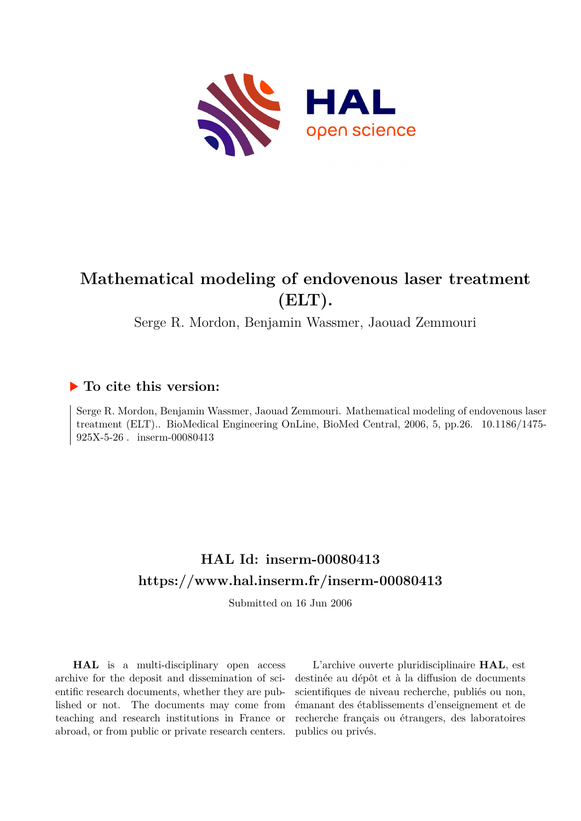

# **Mathematical modeling of endovenous laser treatment (ELT).**

Serge R. Mordon, Benjamin Wassmer, Jaouad Zemmouri

## **To cite this version:**

Serge R. Mordon, Benjamin Wassmer, Jaouad Zemmouri. Mathematical modeling of endovenous laser treatment (ELT).. BioMedical Engineering OnLine, BioMed Central, 2006, 5, pp.26. 10.1186/1475-925X-5-26 . inserm-00080413

## **HAL Id: inserm-00080413 <https://www.hal.inserm.fr/inserm-00080413>**

Submitted on 16 Jun 2006

**HAL** is a multi-disciplinary open access archive for the deposit and dissemination of scientific research documents, whether they are published or not. The documents may come from teaching and research institutions in France or abroad, or from public or private research centers.

L'archive ouverte pluridisciplinaire **HAL**, est destinée au dépôt et à la diffusion de documents scientifiques de niveau recherche, publiés ou non, émanant des établissements d'enseignement et de recherche français ou étrangers, des laboratoires publics ou privés.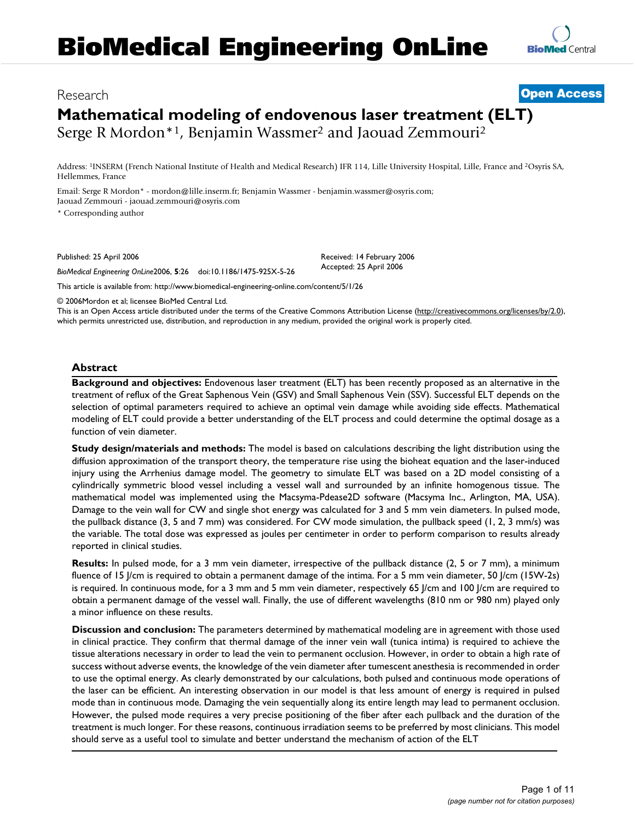## Research [Open Access](http://www.biomedcentral.com/info/about/charter/)

# **Mathematical modeling of endovenous laser treatment (ELT)** Serge R Mordon\*<sup>1</sup>, Benjamin Wassmer<sup>2</sup> and Jaouad Zemmouri<sup>2</sup>

Address: <sup>1</sup>INSERM (French National Institute of Health and Medical Research) IFR 114, Lille University Hospital, Lille, France and <sup>2</sup>Osyris SA, Hellemmes, France

Email: Serge R Mordon\* - mordon@lille.inserm.fr; Benjamin Wassmer - benjamin.wassmer@osyris.com; Jaouad Zemmouri - jaouad.zemmouri@osyris.com

\* Corresponding author

Published: 25 April 2006

*BioMedical Engineering OnLine*2006, **5**:26 doi:10.1186/1475-925X-5-26

[This article is available from: http://www.biomedical-engineering-online.com/content/5/1/26](http://www.biomedical-engineering-online.com/content/5/1/26)

© 2006Mordon et al; licensee BioMed Central Ltd.

This is an Open Access article distributed under the terms of the Creative Commons Attribution License [\(http://creativecommons.org/licenses/by/2.0\)](http://creativecommons.org/licenses/by/2.0), which permits unrestricted use, distribution, and reproduction in any medium, provided the original work is properly cited.

Received: 14 February 2006 Accepted: 25 April 2006

## **Abstract**

**Background and objectives:** Endovenous laser treatment (ELT) has been recently proposed as an alternative in the treatment of reflux of the Great Saphenous Vein (GSV) and Small Saphenous Vein (SSV). Successful ELT depends on the selection of optimal parameters required to achieve an optimal vein damage while avoiding side effects. Mathematical modeling of ELT could provide a better understanding of the ELT process and could determine the optimal dosage as a function of vein diameter.

**Study design/materials and methods:** The model is based on calculations describing the light distribution using the diffusion approximation of the transport theory, the temperature rise using the bioheat equation and the laser-induced injury using the Arrhenius damage model. The geometry to simulate ELT was based on a 2D model consisting of a cylindrically symmetric blood vessel including a vessel wall and surrounded by an infinite homogenous tissue. The mathematical model was implemented using the Macsyma-Pdease2D software (Macsyma Inc., Arlington, MA, USA). Damage to the vein wall for CW and single shot energy was calculated for 3 and 5 mm vein diameters. In pulsed mode, the pullback distance (3, 5 and 7 mm) was considered. For CW mode simulation, the pullback speed (1, 2, 3 mm/s) was the variable. The total dose was expressed as joules per centimeter in order to perform comparison to results already reported in clinical studies.

**Results:** In pulsed mode, for a 3 mm vein diameter, irrespective of the pullback distance (2, 5 or 7 mm), a minimum fluence of 15 J/cm is required to obtain a permanent damage of the intima. For a 5 mm vein diameter, 50 J/cm (15W-2s) is required. In continuous mode, for a 3 mm and 5 mm vein diameter, respectively 65 J/cm and 100 J/cm are required to obtain a permanent damage of the vessel wall. Finally, the use of different wavelengths (810 nm or 980 nm) played only a minor influence on these results.

**Discussion and conclusion:** The parameters determined by mathematical modeling are in agreement with those used in clinical practice. They confirm that thermal damage of the inner vein wall (tunica intima) is required to achieve the tissue alterations necessary in order to lead the vein to permanent occlusion. However, in order to obtain a high rate of success without adverse events, the knowledge of the vein diameter after tumescent anesthesia is recommended in order to use the optimal energy. As clearly demonstrated by our calculations, both pulsed and continuous mode operations of the laser can be efficient. An interesting observation in our model is that less amount of energy is required in pulsed mode than in continuous mode. Damaging the vein sequentially along its entire length may lead to permanent occlusion. However, the pulsed mode requires a very precise positioning of the fiber after each pullback and the duration of the treatment is much longer. For these reasons, continuous irradiation seems to be preferred by most clinicians. This model should serve as a useful tool to simulate and better understand the mechanism of action of the ELT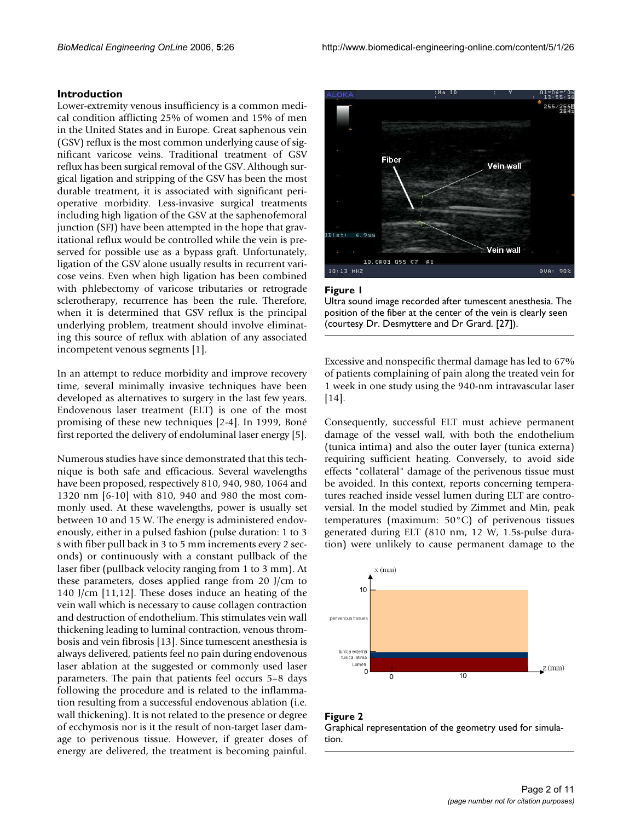#### **Introduction**

Lower-extremity venous insufficiency is a common medical condition afflicting 25% of women and 15% of men in the United States and in Europe. Great saphenous vein (GSV) reflux is the most common underlying cause of significant varicose veins. Traditional treatment of GSV reflux has been surgical removal of the GSV. Although surgical ligation and stripping of the GSV has been the most durable treatment, it is associated with significant perioperative morbidity. Less-invasive surgical treatments including high ligation of the GSV at the saphenofemoral junction (SFJ) have been attempted in the hope that gravitational reflux would be controlled while the vein is preserved for possible use as a bypass graft. Unfortunately, ligation of the GSV alone usually results in recurrent varicose veins. Even when high ligation has been combined with phlebectomy of varicose tributaries or retrograde sclerotherapy, recurrence has been the rule. Therefore, when it is determined that GSV reflux is the principal underlying problem, treatment should involve eliminating this source of reflux with ablation of any associated incompetent venous segments [1].

In an attempt to reduce morbidity and improve recovery time, several minimally invasive techniques have been developed as alternatives to surgery in the last few years. Endovenous laser treatment (ELT) is one of the most promising of these new techniques [2-4]. In 1999, Boné first reported the delivery of endoluminal laser energy [5].

Numerous studies have since demonstrated that this technique is both safe and efficacious. Several wavelengths have been proposed, respectively 810, 940, 980, 1064 and 1320 nm [6-10] with 810, 940 and 980 the most commonly used. At these wavelengths, power is usually set between 10 and 15 W. The energy is administered endovenously, either in a pulsed fashion (pulse duration: 1 to 3 s with fiber pull back in 3 to 5 mm increments every 2 seconds) or continuously with a constant pullback of the laser fiber (pullback velocity ranging from 1 to 3 mm). At these parameters, doses applied range from 20 J/cm to 140 J/cm [11,12]. These doses induce an heating of the vein wall which is necessary to cause collagen contraction and destruction of endothelium. This stimulates vein wall thickening leading to luminal contraction, venous thrombosis and vein fibrosis [13]. Since tumescent anesthesia is always delivered, patients feel no pain during endovenous laser ablation at the suggested or commonly used laser parameters. The pain that patients feel occurs 5–8 days following the procedure and is related to the inflammation resulting from a successful endovenous ablation (i.e. wall thickening). It is not related to the presence or degree of ecchymosis nor is it the result of non-target laser damage to perivenous tissue. However, if greater doses of energy are delivered, the treatment is becoming painful.



#### Figure 1

Ultra sound image recorded after tumescent anesthesia. The position of the fiber at the center of the vein is clearly seen (courtesy Dr. Desmyttere and Dr Grard. [27]).

Excessive and nonspecific thermal damage has led to 67% of patients complaining of pain along the treated vein for 1 week in one study using the 940-nm intravascular laser [14].

Consequently, successful ELT must achieve permanent damage of the vessel wall, with both the endothelium (tunica intima) and also the outer layer (tunica externa) requiring sufficient heating. Conversely, to avoid side effects "collateral" damage of the perivenous tissue must be avoided. In this context, reports concerning temperatures reached inside vessel lumen during ELT are controversial. In the model studied by Zimmet and Min, peak temperatures (maximum: 50°C) of perivenous tissues generated during ELT (810 nm, 12 W, 1.5s-pulse duration) were unlikely to cause permanent damage to the



Figure 2 Graphical representation of the geometry used for simulation.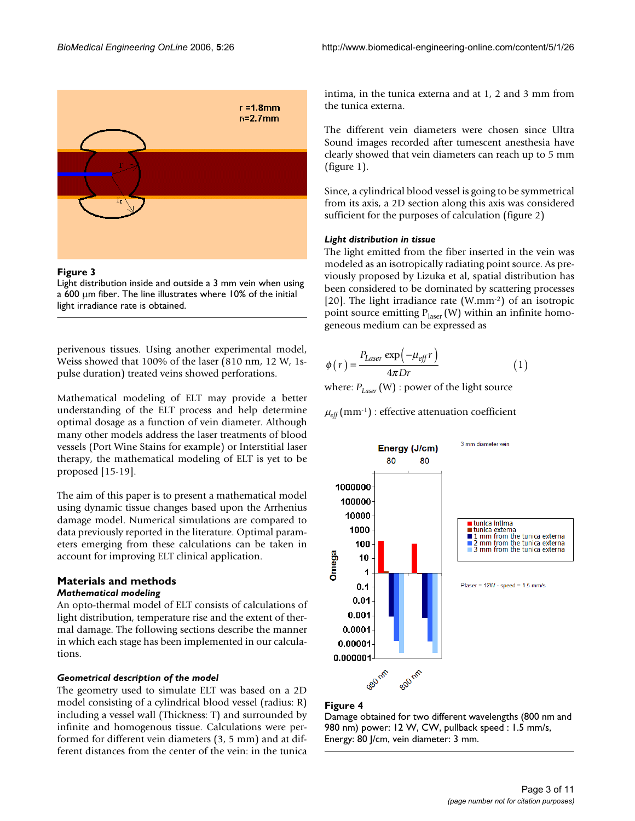

## Figure 3

Light distribution inside and outside a 3 mm vein when using a 600 µm fiber. The line illustrates where 10% of the initial light irradiance rate is obtained.

perivenous tissues. Using another experimental model, Weiss showed that 100% of the laser (810 nm, 12 W, 1spulse duration) treated veins showed perforations.

Mathematical modeling of ELT may provide a better understanding of the ELT process and help determine optimal dosage as a function of vein diameter. Although many other models address the laser treatments of blood vessels (Port Wine Stains for example) or Interstitial laser therapy, the mathematical modeling of ELT is yet to be proposed [15-19].

The aim of this paper is to present a mathematical model using dynamic tissue changes based upon the Arrhenius damage model. Numerical simulations are compared to data previously reported in the literature. Optimal parameters emerging from these calculations can be taken in account for improving ELT clinical application.

## **Materials and methods** *Mathematical modeling*

An opto-thermal model of ELT consists of calculations of light distribution, temperature rise and the extent of thermal damage. The following sections describe the manner in which each stage has been implemented in our calculations.

#### *Geometrical description of the model*

The geometry used to simulate ELT was based on a 2D model consisting of a cylindrical blood vessel (radius: R) including a vessel wall (Thickness: T) and surrounded by infinite and homogenous tissue. Calculations were performed for different vein diameters (3, 5 mm) and at different distances from the center of the vein: in the tunica

intima, in the tunica externa and at 1, 2 and 3 mm from the tunica externa.

The different vein diameters were chosen since Ultra Sound images recorded after tumescent anesthesia have clearly showed that vein diameters can reach up to 5 mm (figure 1).

Since, a cylindrical blood vessel is going to be symmetrical from its axis, a 2D section along this axis was considered sufficient for the purposes of calculation (figure 2)

### *Light distribution in tissue*

The light emitted from the fiber inserted in the vein was modeled as an isotropically radiating point source. As previously proposed by Lizuka et al, spatial distribution has been considered to be dominated by scattering processes [20]. The light irradiance rate (W.mm-2) of an isotropic point source emitting  $P_{\text{laser}}(W)$  within an infinite homogeneous medium can be expressed as

$$
\phi(r) = \frac{P_{Laser} \exp(-\mu_{eff} r)}{4\pi Dr}
$$
\n(1)

where:  $P_{Laser}$  (W) : power of the light source

 $\mu_{\text{eff}}$  (mm<sup>-1</sup>) : effective attenuation coefficient



#### Figure 4

Damage obtained for two different wavelengths (800 nm and 980 nm) power: 12 W, CW, pullback speed : 1.5 mm/s, Energy: 80 J/cm, vein diameter: 3 mm.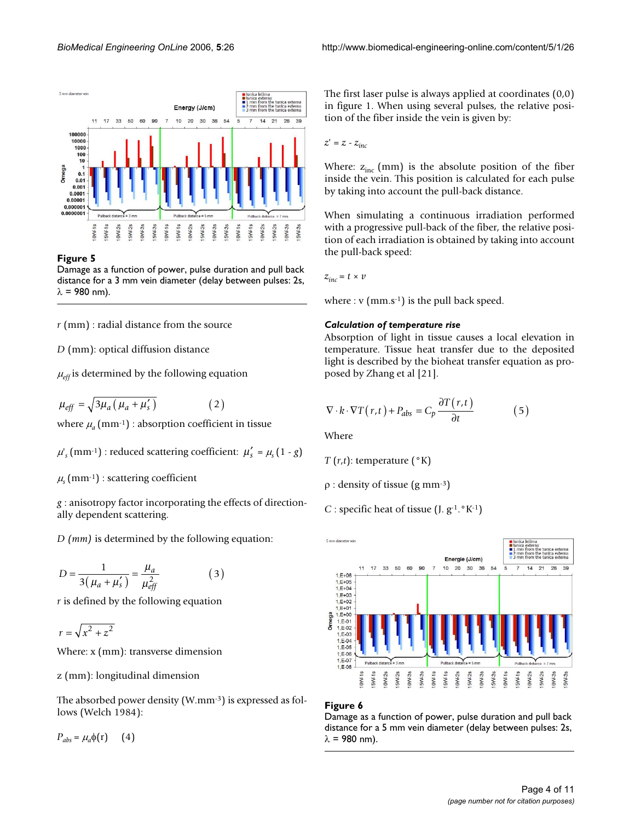

#### Figure 5

Damage as a function of power, pulse duration and pull back distance for a 3 mm vein diameter (delay between pulses: 2s,  $\lambda$  = 980 nm).

*r* (mm) : radial distance from the source

*D* (mm): optical diffusion distance

 $\mu_{\text{eff}}$  is determined by the following equation

 $\mu_{eff} = \sqrt{3\mu_a (\mu_a + \mu'_s)}$  (2)

where  $\mu_a$  (mm<sup>-1</sup>) : absorption coefficient in tissue

 $\mu'_{s}$  (mm<sup>-1</sup>) : reduced scattering coefficient:  $\mu'_{s} = \mu_{s}$  (1 - *g*)

 $\mu$ <sub>s</sub> (mm<sup>-1</sup>) : scattering coefficient

*g* : anisotropy factor incorporating the effects of directionally dependent scattering.

*D (mm)* is determined by the following equation:

$$
D = \frac{1}{3(\mu_a + \mu'_s)} = \frac{\mu_a}{\mu_{eff}^2}
$$
 (3)

*r* is defined by the following equation

 $r = \sqrt{x^2 + z^2}$ 

Where: x (mm): transverse dimension

z (mm): longitudinal dimension

The absorbed power density (W.mm-3) is expressed as follows (Welch 1984):

 $P_{abs} = \mu_a \phi(r)$  (4)

The first laser pulse is always applied at coordinates (0,0) in figure 1. When using several pulses, the relative position of the fiber inside the vein is given by:

 $z' = z - z_{inc}$ 

Where:  $z_{inc}$  (mm) is the absolute position of the fiber inside the vein. This position is calculated for each pulse by taking into account the pull-back distance.

When simulating a continuous irradiation performed with a progressive pull-back of the fiber, the relative position of each irradiation is obtained by taking into account the pull-back speed:

$$
z_{inc} = t \times v
$$

where :  $v$  (mm.s<sup>-1</sup>) is the pull back speed.

#### *Calculation of temperature rise*

Absorption of light in tissue causes a local elevation in temperature. Tissue heat transfer due to the deposited light is described by the bioheat transfer equation as proposed by Zhang et al [21].

$$
\nabla \cdot \mathbf{k} \cdot \nabla T(r, t) + P_{abs} = C_p \frac{\partial T(r, t)}{\partial t}
$$
 (5)

Where

$$
T(r,t)
$$
: temperature ( $^{\circ}$ K)

ρ : density of tissue (g mm-3)

*C* : specific heat of tissue  $(I, g^{-1}$ .  $(K^{-1})$ 



#### Figure 6

Damage as a function of power, pulse duration and pull back distance for a 5 mm vein diameter (delay between pulses: 2s,  $\lambda$  = 980 nm).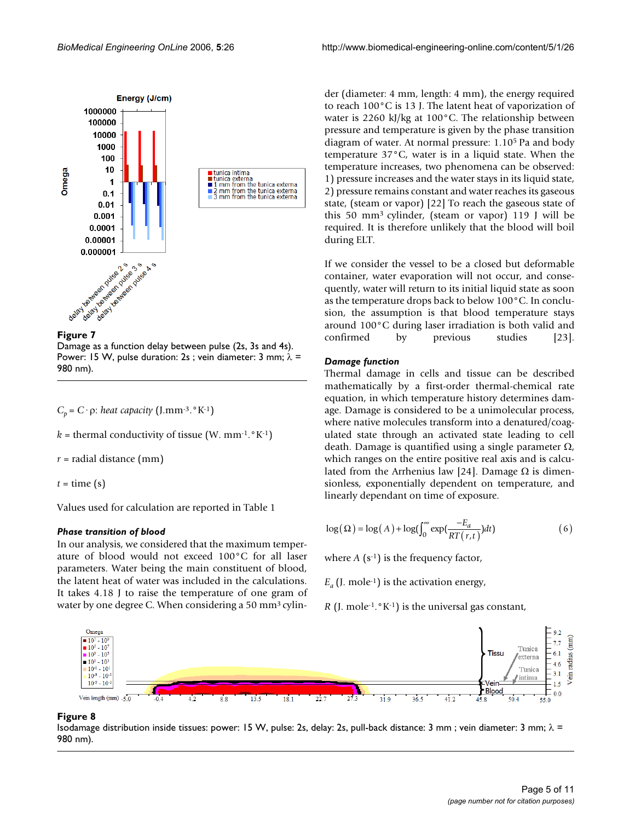



Damage as a function delay between pulse (2s, 3s and 4s). Power: 15 W, pulse duration: 2s ; vein diameter: 3 mm;  $\lambda$  = 980 nm).

*C*<sub>*p*</sub> = *C* · *ρ*: *heat capacity* (J.mm<sup>-3</sup>. °K<sup>-1</sup>)

 $k =$  thermal conductivity of tissue (W. mm<sup>-1</sup>.  $K^{-1}$ )

*r* = radial distance (mm)

 $t =$  time (s)

Values used for calculation are reported in Table 1

#### *Phase transition of blood*

In our analysis, we considered that the maximum temperature of blood would not exceed 100°C for all laser parameters. Water being the main constituent of blood, the latent heat of water was included in the calculations. It takes 4.18 J to raise the temperature of one gram of water by one degree C. When considering a 50 mm3 cylinder (diameter: 4 mm, length: 4 mm), the energy required to reach 100°C is 13 J. The latent heat of vaporization of water is 2260 kJ/kg at 100°C. The relationship between pressure and temperature is given by the phase transition diagram of water. At normal pressure: 1.10<sup>5</sup> Pa and body temperature 37°C, water is in a liquid state. When the temperature increases, two phenomena can be observed: 1) pressure increases and the water stays in its liquid state, 2) pressure remains constant and water reaches its gaseous state, (steam or vapor) [22] To reach the gaseous state of this 50 mm<sup>3</sup>cylinder, (steam or vapor) 119 J will be required. It is therefore unlikely that the blood will boil during ELT.

If we consider the vessel to be a closed but deformable container, water evaporation will not occur, and consequently, water will return to its initial liquid state as soon as the temperature drops back to below 100°C. In conclusion, the assumption is that blood temperature stays around 100°C during laser irradiation is both valid and confirmed by previous studies [23].

## *Damage function*

Thermal damage in cells and tissue can be described mathematically by a first-order thermal-chemical rate equation, in which temperature history determines damage. Damage is considered to be a unimolecular process, where native molecules transform into a denatured/coagulated state through an activated state leading to cell death. Damage is quantified using a single parameter Ω, which ranges on the entire positive real axis and is calculated from the Arrhenius law [24]. Damage  $\Omega$  is dimensionless, exponentially dependent on temperature, and linearly dependant on time of exposure.

$$
\log(\Omega) = \log(A) + \log(\int_0^\infty \exp(\frac{-E_a}{RT(r,t)})dt)
$$
 (6)

where  $A(s^{-1})$  is the frequency factor,

 $E_a$  (J. mole<sup>-1</sup>) is the activation energy,

*R* (J. mole-1.°K-1) is the universal gas constant,



#### Isodamage distribution inside tissues: po 980 nm) **Figure 8** wer: 15 W, pulse: 2s, delay: 2s, pull-back distance: 3 mm ; vein diameter: 3 mm; λ =

Isodamage distribution inside tissues: power: 15 W, pulse: 2s, delay: 2s, pull-back distance: 3 mm ; vein diameter: 3 mm; λ = 980 nm).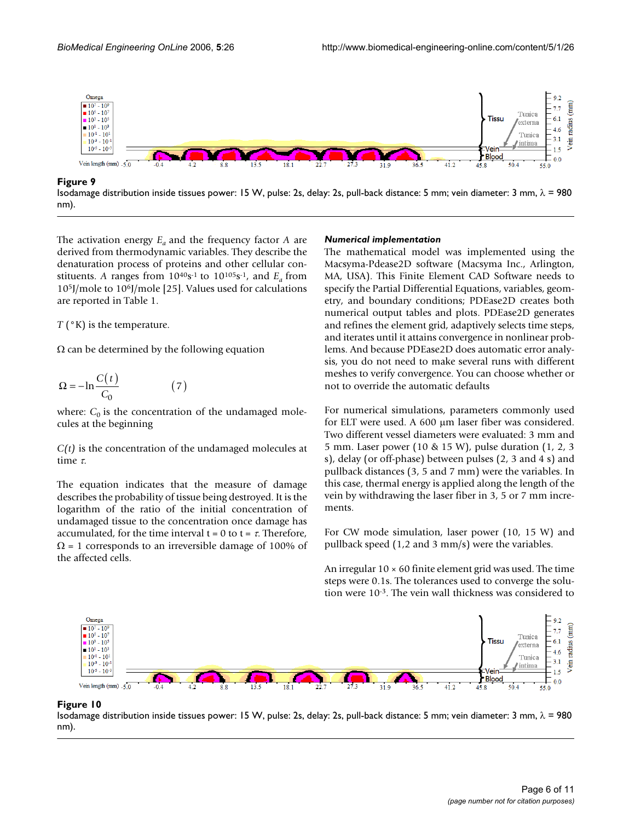

Isodamage distribution inside tissues power: 15 W, pulse: 2s, delay: 2s, pull-back distance: 5 mm; vein diameter: 3 mm,  $\lambda$  = 980 nm).

The activation energy *Ea* and the frequency factor *A* are derived from thermodynamic variables. They describe the denaturation process of proteins and other cellular constituents. A ranges from  $10^{40}$ s<sup>-1</sup> to  $10^{105}$ s<sup>-1</sup>, and  $E_a$  from 10<sup>5</sup>J/mole to 10<sup>6</sup>J/mole [25]. Values used for calculations are reported in Table 1.

*T* ( $\degree$ K) is the temperature.

 $\Omega$  can be determined by the following equation

$$
\Omega = -\ln \frac{C(t)}{C_0} \tag{7}
$$

where:  $C_0$  is the concentration of the undamaged molecules at the beginning

*C(t)* is the concentration of the undamaged molecules at time τ.

The equation indicates that the measure of damage describes the probability of tissue being destroyed. It is the logarithm of the ratio of the initial concentration of undamaged tissue to the concentration once damage has accumulated, for the time interval  $t = 0$  to  $t = \tau$ . Therefore,  $\Omega$  = 1 corresponds to an irreversible damage of 100% of the affected cells.

#### *Numerical implementation*

The mathematical model was implemented using the Macsyma-Pdease2D software (Macsyma Inc., Arlington, MA, USA). This Finite Element CAD Software needs to specify the Partial Differential Equations, variables, geometry, and boundary conditions; PDEase2D creates both numerical output tables and plots. PDEase2D generates and refines the element grid, adaptively selects time steps, and iterates until it attains convergence in nonlinear problems. And because PDEase2D does automatic error analysis, you do not need to make several runs with different meshes to verify convergence. You can choose whether or not to override the automatic defaults

For numerical simulations, parameters commonly used for ELT were used. A 600 µm laser fiber was considered. Two different vessel diameters were evaluated: 3 mm and 5 mm. Laser power (10 & 15 W), pulse duration (1, 2, 3 s), delay (or off-phase) between pulses (2, 3 and 4 s) and pullback distances (3, 5 and 7 mm) were the variables. In this case, thermal energy is applied along the length of the vein by withdrawing the laser fiber in 3, 5 or 7 mm increments.

For CW mode simulation, laser power (10, 15 W) and pullback speed (1,2 and 3 mm/s) were the variables.

An irregular  $10 \times 60$  finite element grid was used. The time steps were 0.1s. The tolerances used to converge the solution were 10-3. The vein wall thickness was considered to



Isodamage distribution inside tissues powe **Figure 10** nm) r: 15 W, pulse: 2s, delay: 2s, pull-back distance: 5 mm; vein diameter: 3 mm, λ = 980

Isodamage distribution inside tissues power: 15 W, pulse: 2s, delay: 2s, pull-back distance: 5 mm; vein diameter: 3 mm,  $\lambda$  = 980 nm).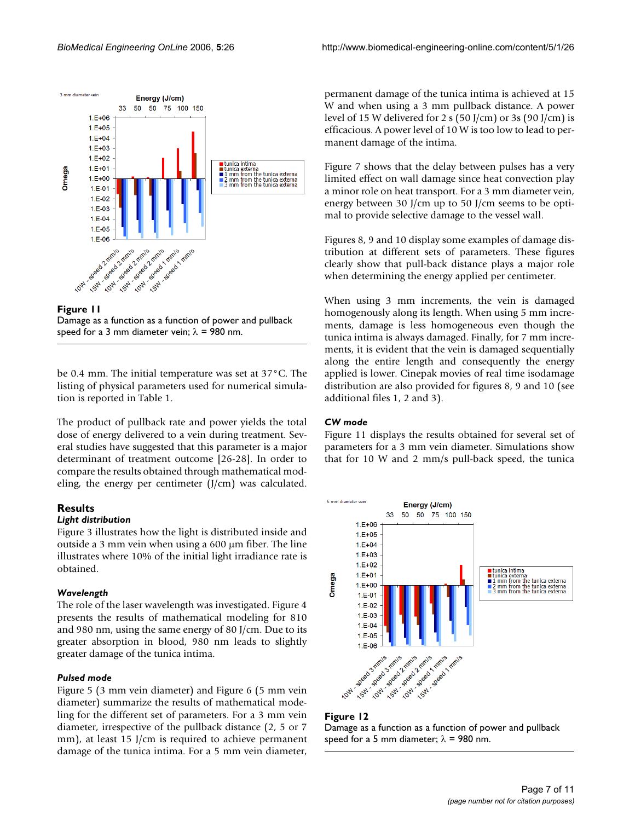

**Figure 11** Damage as a function as a function of power and pullback speed for a 3 mm diameter vein;  $\lambda$  = 980 nm.

be 0.4 mm. The initial temperature was set at 37°C. The listing of physical parameters used for numerical simulation is reported in Table 1.

The product of pullback rate and power yields the total dose of energy delivered to a vein during treatment. Several studies have suggested that this parameter is a major determinant of treatment outcome [26-28]. In order to compare the results obtained through mathematical modeling, the energy per centimeter (J/cm) was calculated.

## **Results**

## *Light distribution*

Figure 3 illustrates how the light is distributed inside and outside a 3 mm vein when using a 600 µm fiber. The line illustrates where 10% of the initial light irradiance rate is obtained.

## *Wavelength*

The role of the laser wavelength was investigated. Figure 4 presents the results of mathematical modeling for 810 and 980 nm, using the same energy of 80 J/cm. Due to its greater absorption in blood, 980 nm leads to slightly greater damage of the tunica intima.

## *Pulsed mode*

Figure 5 (3 mm vein diameter) and Figure 6 (5 mm vein diameter) summarize the results of mathematical modeling for the different set of parameters. For a 3 mm vein diameter, irrespective of the pullback distance (2, 5 or 7 mm), at least 15 J/cm is required to achieve permanent damage of the tunica intima. For a 5 mm vein diameter,

permanent damage of the tunica intima is achieved at 15 W and when using a 3 mm pullback distance. A power level of 15 W delivered for 2 s (50 J/cm) or 3s (90 J/cm) is efficacious. A power level of 10 W is too low to lead to permanent damage of the intima.

Figure 7 shows that the delay between pulses has a very limited effect on wall damage since heat convection play a minor role on heat transport. For a 3 mm diameter vein, energy between 30 J/cm up to 50 J/cm seems to be optimal to provide selective damage to the vessel wall.

Figures 8, 9 and 10 display some examples of damage distribution at different sets of parameters. These figures clearly show that pull-back distance plays a major role when determining the energy applied per centimeter.

When using 3 mm increments, the vein is damaged homogenously along its length. When using 5 mm increments, damage is less homogeneous even though the tunica intima is always damaged. Finally, for 7 mm increments, it is evident that the vein is damaged sequentially along the entire length and consequently the energy applied is lower. Cinepak movies of real time isodamage distribution are also provided for figures 8, 9 and 10 (see additional files 1, 2 and 3).

## *CW mode*

Figure 11 displays the results obtained for several set of parameters for a 3 mm vein diameter. Simulations show that for 10 W and 2 mm/s pull-back speed, the tunica



#### **Figure 12** Damage as a function as a function of power and pullback speed for a 5 mm diameter;  $\lambda$  = 980 nm.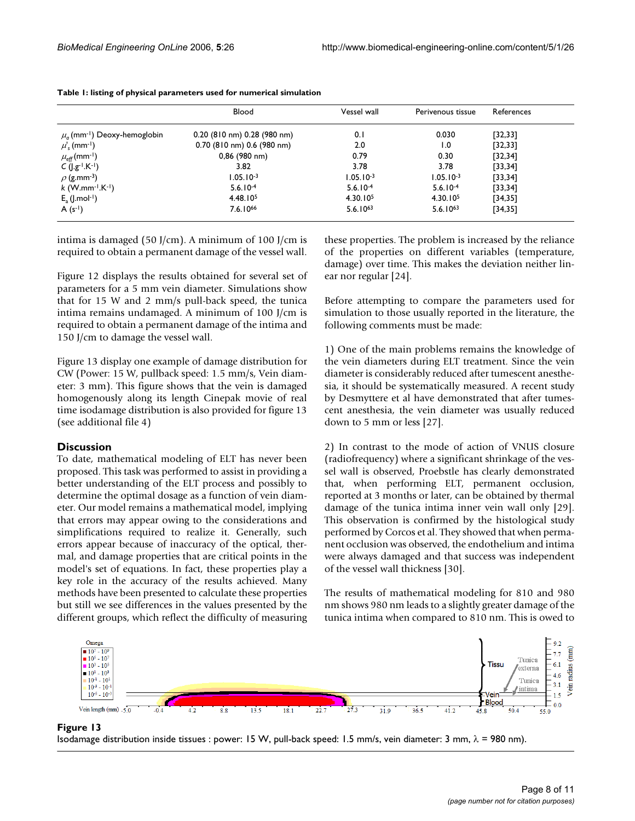|                                              | Blood                           | Vessel wall          | Perivenous tissue    | References |
|----------------------------------------------|---------------------------------|----------------------|----------------------|------------|
| $\mu_a$ (mm <sup>-1</sup> ) Deoxy-hemoglobin | $0.20$ (810 nm) $0.28$ (980 nm) | 0.1                  | 0.030                | [32, 33]   |
| $\mu'$ <sub>s</sub> (mm <sup>-1</sup> )      | $0.70$ (810 nm) 0.6 (980 nm)    | 2.0                  | $\overline{1.0}$     | [32, 33]   |
| $\mu_\mathrm{eff}$ (mm <sup>-1</sup> )       | 0,86 (980 nm)                   | 0.79                 | 0.30                 | [32, 34]   |
| $C$ ( $ g^{-1}.K^{-1}$ )                     | 3.82                            | 3.78                 | 3.78                 | [33, 34]   |
| $\rho$ (g.mm <sup>-3</sup> )                 | $1.05.10-3$                     | $1.05.10^{-3}$       | $1.05.10-3$          | [33, 34]   |
| $k$ (W.mm <sup>-1</sup> .K <sup>-1</sup> )   | $5.6.10^{-4}$                   | $5.6.10^{-4}$        | $5.6.10^{-4}$        | [33, 34]   |
| $E_a$ (J.mol <sup>-1</sup> )                 | 4.48.10 <sup>5</sup>            | 4.30.10 <sup>5</sup> | 4.30.10 <sup>5</sup> | [34, 35]   |
| $A(s^{-1})$                                  | $7.6.10^{66}$                   | $5.6.10^{63}$        | $5.6.10^{63}$        | [34, 35]   |

intima is damaged (50 J/cm). A minimum of 100 J/cm is required to obtain a permanent damage of the vessel wall.

Figure 12 displays the results obtained for several set of parameters for a 5 mm vein diameter. Simulations show that for 15 W and 2 mm/s pull-back speed, the tunica intima remains undamaged. A minimum of 100 J/cm is required to obtain a permanent damage of the intima and 150 J/cm to damage the vessel wall.

Figure 13 display one example of damage distribution for CW (Power: 15 W, pullback speed: 1.5 mm/s, Vein diameter: 3 mm). This figure shows that the vein is damaged homogenously along its length Cinepak movie of real time isodamage distribution is also provided for figure 13 (see additional file 4)

#### **Discussion**

To date, mathematical modeling of ELT has never been proposed. This task was performed to assist in providing a better understanding of the ELT process and possibly to determine the optimal dosage as a function of vein diameter. Our model remains a mathematical model, implying that errors may appear owing to the considerations and simplifications required to realize it. Generally, such errors appear because of inaccuracy of the optical, thermal, and damage properties that are critical points in the model's set of equations. In fact, these properties play a key role in the accuracy of the results achieved. Many methods have been presented to calculate these properties but still we see differences in the values presented by the different groups, which reflect the difficulty of measuring these properties. The problem is increased by the reliance of the properties on different variables (temperature, damage) over time. This makes the deviation neither linear nor regular [24].

Before attempting to compare the parameters used for simulation to those usually reported in the literature, the following comments must be made:

1) One of the main problems remains the knowledge of the vein diameters during ELT treatment. Since the vein diameter is considerably reduced after tumescent anesthesia, it should be systematically measured. A recent study by Desmyttere et al have demonstrated that after tumescent anesthesia, the vein diameter was usually reduced down to 5 mm or less [27].

2) In contrast to the mode of action of VNUS closure (radiofrequency) where a significant shrinkage of the vessel wall is observed, Proebstle has clearly demonstrated that, when performing ELT, permanent occlusion, reported at 3 months or later, can be obtained by thermal damage of the tunica intima inner vein wall only [29]. This observation is confirmed by the histological study performed by Corcos et al. They showed that when permanent occlusion was observed, the endothelium and intima were always damaged and that success was independent of the vessel wall thickness [30].

The results of mathematical modeling for 810 and 980 nm shows 980 nm leads to a slightly greater damage of the tunica intima when compared to 810 nm. This is owed to



Isodamage distribution inside tissues : power: 15 W, pull-back speed: 1.5 mm/s, vein diameter: 3 mm,  $\lambda$  = 980 nm).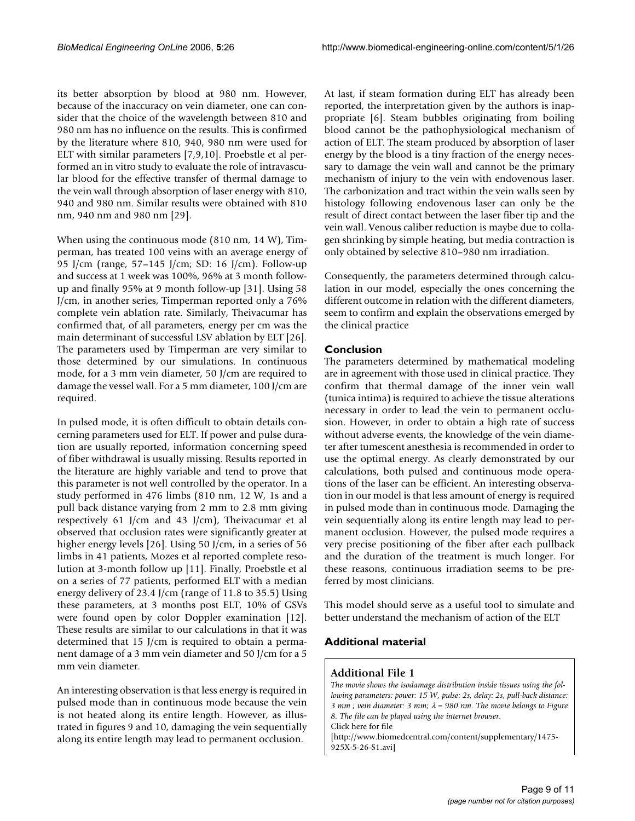its better absorption by blood at 980 nm. However, because of the inaccuracy on vein diameter, one can consider that the choice of the wavelength between 810 and 980 nm has no influence on the results. This is confirmed by the literature where 810, 940, 980 nm were used for ELT with similar parameters [7,9,10]. Proebstle et al performed an in vitro study to evaluate the role of intravascular blood for the effective transfer of thermal damage to the vein wall through absorption of laser energy with 810, 940 and 980 nm. Similar results were obtained with 810 nm, 940 nm and 980 nm [29].

When using the continuous mode (810 nm, 14 W), Timperman, has treated 100 veins with an average energy of 95 J/cm (range, 57–145 J/cm; SD: 16 J/cm). Follow-up and success at 1 week was 100%, 96% at 3 month followup and finally 95% at 9 month follow-up [31]. Using 58 J/cm, in another series, Timperman reported only a 76% complete vein ablation rate. Similarly, Theivacumar has confirmed that, of all parameters, energy per cm was the main determinant of successful LSV ablation by ELT [26]. The parameters used by Timperman are very similar to those determined by our simulations. In continuous mode, for a 3 mm vein diameter, 50 J/cm are required to damage the vessel wall. For a 5 mm diameter, 100 J/cm are required.

In pulsed mode, it is often difficult to obtain details concerning parameters used for ELT. If power and pulse duration are usually reported, information concerning speed of fiber withdrawal is usually missing. Results reported in the literature are highly variable and tend to prove that this parameter is not well controlled by the operator. In a study performed in 476 limbs (810 nm, 12 W, 1s and a pull back distance varying from 2 mm to 2.8 mm giving respectively 61 J/cm and 43 J/cm), Theivacumar et al observed that occlusion rates were significantly greater at higher energy levels [26]. Using 50 J/cm, in a series of 56 limbs in 41 patients, Mozes et al reported complete resolution at 3-month follow up [11]. Finally, Proebstle et al on a series of 77 patients, performed ELT with a median energy delivery of 23.4 J/cm (range of 11.8 to 35.5) Using these parameters, at 3 months post ELT, 10% of GSVs were found open by color Doppler examination [12]. These results are similar to our calculations in that it was determined that 15 J/cm is required to obtain a permanent damage of a 3 mm vein diameter and 50 J/cm for a 5 mm vein diameter.

An interesting observation is that less energy is required in pulsed mode than in continuous mode because the vein is not heated along its entire length. However, as illustrated in figures 9 and 10, damaging the vein sequentially along its entire length may lead to permanent occlusion.

At last, if steam formation during ELT has already been reported, the interpretation given by the authors is inappropriate [6]. Steam bubbles originating from boiling blood cannot be the pathophysiological mechanism of action of ELT. The steam produced by absorption of laser energy by the blood is a tiny fraction of the energy necessary to damage the vein wall and cannot be the primary mechanism of injury to the vein with endovenous laser. The carbonization and tract within the vein walls seen by histology following endovenous laser can only be the result of direct contact between the laser fiber tip and the vein wall. Venous caliber reduction is maybe due to collagen shrinking by simple heating, but media contraction is only obtained by selective 810–980 nm irradiation.

Consequently, the parameters determined through calculation in our model, especially the ones concerning the different outcome in relation with the different diameters, seem to confirm and explain the observations emerged by the clinical practice

## **Conclusion**

The parameters determined by mathematical modeling are in agreement with those used in clinical practice. They confirm that thermal damage of the inner vein wall (tunica intima) is required to achieve the tissue alterations necessary in order to lead the vein to permanent occlusion. However, in order to obtain a high rate of success without adverse events, the knowledge of the vein diameter after tumescent anesthesia is recommended in order to use the optimal energy. As clearly demonstrated by our calculations, both pulsed and continuous mode operations of the laser can be efficient. An interesting observation in our model is that less amount of energy is required in pulsed mode than in continuous mode. Damaging the vein sequentially along its entire length may lead to permanent occlusion. However, the pulsed mode requires a very precise positioning of the fiber after each pullback and the duration of the treatment is much longer. For these reasons, continuous irradiation seems to be preferred by most clinicians.

This model should serve as a useful tool to simulate and better understand the mechanism of action of the ELT

## **Additional material**

## **Additional File 1**

*The movie shows the isodamage distribution inside tissues using the following parameters: power: 15 W, pulse: 2s, delay: 2s, pull-back distance: 3 mm ; vein diameter: 3 mm;* λ *= 980 nm. The movie belongs to Figure 8. The file can be played using the internet browser.*

Click here for file

[\[http://www.biomedcentral.com/content/supplementary/1475-](http://www.biomedcentral.com/content/supplementary/1475-925X-5-26-S1.avi) 925X-5-26-S1.avi]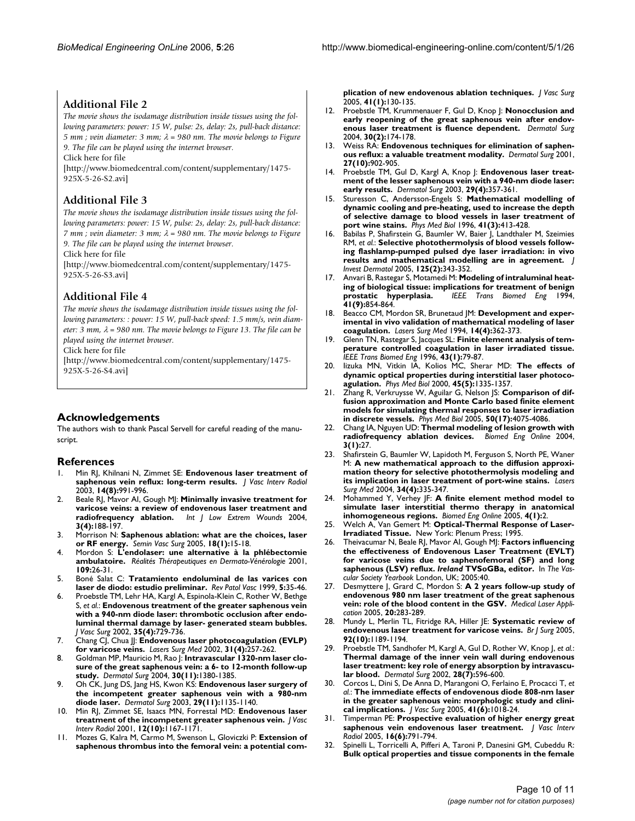## **Additional File 2**

*The movie shows the isodamage distribution inside tissues using the following parameters: power: 15 W, pulse: 2s, delay: 2s, pull-back distance: 5 mm ; vein diameter: 3 mm;* λ *= 980 nm. The movie belongs to Figure 9. The file can be played using the internet browser.*

Click here for file

[\[http://www.biomedcentral.com/content/supplementary/1475-](http://www.biomedcentral.com/content/supplementary/1475-925X-5-26-S2.avi) 925X-5-26-S2.avi]

## **Additional File 3**

*The movie shows the isodamage distribution inside tissues using the following parameters: power: 15 W, pulse: 2s, delay: 2s, pull-back distance: 7 mm ; vein diameter: 3 mm;* λ *= 980 nm. The movie belongs to Figure 9. The file can be played using the internet browser.*

Click here for file

[\[http://www.biomedcentral.com/content/supplementary/1475-](http://www.biomedcentral.com/content/supplementary/1475-925X-5-26-S3.avi) 925X-5-26-S3.avi]

## **Additional File 4**

*The movie shows the isodamage distribution inside tissues using the following parameters: : power: 15 W, pull-back speed: 1.5 mm/s, vein diameter: 3 mm,* λ *= 980 nm. The movie belongs to Figure 13. The file can be played using the internet browser.*

Click here for file

[\[http://www.biomedcentral.com/content/supplementary/1475-](http://www.biomedcentral.com/content/supplementary/1475-925X-5-26-S4.avi) 925X-5-26-S4.avi]

## **Acknowledgements**

The authors wish to thank Pascal Servell for careful reading of the manuscript.

#### **References**

- 1. Min RJ, Khilnani N, Zimmet SE: **[Endovenous laser treatment of](http://www.ncbi.nlm.nih.gov/entrez/query.fcgi?cmd=Retrieve&db=PubMed&dopt=Abstract&list_uids=12902556) [saphenous vein reflux: long-term results.](http://www.ncbi.nlm.nih.gov/entrez/query.fcgi?cmd=Retrieve&db=PubMed&dopt=Abstract&list_uids=12902556)** *J Vasc Interv Radiol* 2003, **14(8):**991-996.
- 2. Beale RJ, Mavor AI, Gough MJ: **[Minimally invasive treatment for](http://www.ncbi.nlm.nih.gov/entrez/query.fcgi?cmd=Retrieve&db=PubMed&dopt=Abstract&list_uids=15866814) [varicose veins: a review of endovenous laser treatment and](http://www.ncbi.nlm.nih.gov/entrez/query.fcgi?cmd=Retrieve&db=PubMed&dopt=Abstract&list_uids=15866814) [radiofrequency ablation.](http://www.ncbi.nlm.nih.gov/entrez/query.fcgi?cmd=Retrieve&db=PubMed&dopt=Abstract&list_uids=15866814)** *Int J Low Extrem Wounds* 2004, **3(4):**188-197.
- 3. Morrison N: **[Saphenous ablation: what are the choices, laser](http://www.ncbi.nlm.nih.gov/entrez/query.fcgi?cmd=Retrieve&db=PubMed&dopt=Abstract&list_uids=15791548) [or RF energy.](http://www.ncbi.nlm.nih.gov/entrez/query.fcgi?cmd=Retrieve&db=PubMed&dopt=Abstract&list_uids=15791548)** *Semin Vasc Surg* 2005, **18(1):**15-18.
- 4. Mordon S: **L'endolaser: une alternative à la phlébectomie ambulatoire.** *Réalités Thérapeutiques en Dermato-Vénérologie* 2001, **109:**26-31.
- 5. Boné Salat C: **Tratamiento endoluminal de las varices con laser de diodo: estudio preliminar.** *Rev Patol Vasc* 1999, **5:**35-46.
- 6. Proebstle TM, Lehr HA, Kargl A, Espinola-Klein C, Rother W, Bethge S, *et al.*: **[Endovenous treatment of the greater saphenous vein](http://www.ncbi.nlm.nih.gov/entrez/query.fcgi?cmd=Retrieve&db=PubMed&dopt=Abstract&list_uids=11932671) with a 940-nm diode laser: thrombotic occlusion after endo[luminal thermal damage by laser- generated steam bubbles.](http://www.ncbi.nlm.nih.gov/entrez/query.fcgi?cmd=Retrieve&db=PubMed&dopt=Abstract&list_uids=11932671)** *J Vasc Surg* 2002, **35(4):**729-736.
- 7. Chang CJ, Chua JJ: **[Endovenous laser photocoagulation \(EVLP\)](http://www.ncbi.nlm.nih.gov/entrez/query.fcgi?cmd=Retrieve&db=PubMed&dopt=Abstract&list_uids=12355571) [for varicose veins.](http://www.ncbi.nlm.nih.gov/entrez/query.fcgi?cmd=Retrieve&db=PubMed&dopt=Abstract&list_uids=12355571)** *Lasers Surg Med* 2002, **31(4):**257-262.
- 8. Goldman MP, Mauricio M, Rao J: **[Intravascular 1320-nm laser clo](http://www.ncbi.nlm.nih.gov/entrez/query.fcgi?cmd=Retrieve&db=PubMed&dopt=Abstract&list_uids=15522018)[sure of the great saphenous vein: a 6- to 12-month follow-up](http://www.ncbi.nlm.nih.gov/entrez/query.fcgi?cmd=Retrieve&db=PubMed&dopt=Abstract&list_uids=15522018) [study.](http://www.ncbi.nlm.nih.gov/entrez/query.fcgi?cmd=Retrieve&db=PubMed&dopt=Abstract&list_uids=15522018)** *Dermatol Surg* 2004, **30(11):**1380-1385.
- 9. Oh CK, Jung DS, Jang HS, Kwon KS: **[Endovenous laser surgery of](http://www.ncbi.nlm.nih.gov/entrez/query.fcgi?cmd=Retrieve&db=PubMed&dopt=Abstract&list_uids=14641341) [the incompetent greater saphenous vein with a 980-nm](http://www.ncbi.nlm.nih.gov/entrez/query.fcgi?cmd=Retrieve&db=PubMed&dopt=Abstract&list_uids=14641341) [diode laser.](http://www.ncbi.nlm.nih.gov/entrez/query.fcgi?cmd=Retrieve&db=PubMed&dopt=Abstract&list_uids=14641341)** *Dermatol Surg* 2003, **29(11):**1135-1140.
- 10. Min RJ, Zimmet SE, Isaacs MN, Forrestal MD: **[Endovenous laser](http://www.ncbi.nlm.nih.gov/entrez/query.fcgi?cmd=Retrieve&db=PubMed&dopt=Abstract&list_uids=11585882) [treatment of the incompetent greater saphenous vein.](http://www.ncbi.nlm.nih.gov/entrez/query.fcgi?cmd=Retrieve&db=PubMed&dopt=Abstract&list_uids=11585882)** *J Vasc Interv Radiol* 2001, **12(10):**1167-1171.
- 11. Mozes G, Kalra M, Carmo M, Swenson L, Gloviczki P: **[Extension of](http://www.ncbi.nlm.nih.gov/entrez/query.fcgi?cmd=Retrieve&db=PubMed&dopt=Abstract&list_uids=15696055) [saphenous thrombus into the femoral vein: a potential com-](http://www.ncbi.nlm.nih.gov/entrez/query.fcgi?cmd=Retrieve&db=PubMed&dopt=Abstract&list_uids=15696055)**

**[plication of new endovenous ablation techniques.](http://www.ncbi.nlm.nih.gov/entrez/query.fcgi?cmd=Retrieve&db=PubMed&dopt=Abstract&list_uids=15696055)** *J Vasc Surg* 2005, **41(1):**130-135.

- 12. Proebstle TM, Krummenauer F, Gul D, Knop J: **[Nonocclusion and](http://www.ncbi.nlm.nih.gov/entrez/query.fcgi?cmd=Retrieve&db=PubMed&dopt=Abstract&list_uids=14756646) [early reopening of the great saphenous vein after endov](http://www.ncbi.nlm.nih.gov/entrez/query.fcgi?cmd=Retrieve&db=PubMed&dopt=Abstract&list_uids=14756646)[enous laser treatment is fluence dependent.](http://www.ncbi.nlm.nih.gov/entrez/query.fcgi?cmd=Retrieve&db=PubMed&dopt=Abstract&list_uids=14756646)** *Dermatol Surg* 2004, **30(2):**174-178.
- 13. Weiss RA: **[Endovenous techniques for elimination of saphen](http://www.ncbi.nlm.nih.gov/entrez/query.fcgi?cmd=Retrieve&db=PubMed&dopt=Abstract&list_uids=11722532)[ous reflux: a valuable treatment modality.](http://www.ncbi.nlm.nih.gov/entrez/query.fcgi?cmd=Retrieve&db=PubMed&dopt=Abstract&list_uids=11722532)** *Dermatol Surg* 2001, **27(10):**902-905.
- 14. Proebstle TM, Gul D, Kargl A, Knop J: **[Endovenous laser treat](http://www.ncbi.nlm.nih.gov/entrez/query.fcgi?cmd=Retrieve&db=PubMed&dopt=Abstract&list_uids=12656813)[ment of the lesser saphenous vein with a 940-nm diode laser:](http://www.ncbi.nlm.nih.gov/entrez/query.fcgi?cmd=Retrieve&db=PubMed&dopt=Abstract&list_uids=12656813) [early results.](http://www.ncbi.nlm.nih.gov/entrez/query.fcgi?cmd=Retrieve&db=PubMed&dopt=Abstract&list_uids=12656813)** *Dermatol Surg* 2003, **29(4):**357-361.
- 15. Sturesson C, Andersson-Engels S: **[Mathematical modelling of](http://www.ncbi.nlm.nih.gov/entrez/query.fcgi?cmd=Retrieve&db=PubMed&dopt=Abstract&list_uids=8778823) dynamic cooling and pre-heating, used to increase the depth [of selective damage to blood vessels in laser treatment of](http://www.ncbi.nlm.nih.gov/entrez/query.fcgi?cmd=Retrieve&db=PubMed&dopt=Abstract&list_uids=8778823) [port wine stains.](http://www.ncbi.nlm.nih.gov/entrez/query.fcgi?cmd=Retrieve&db=PubMed&dopt=Abstract&list_uids=8778823)** *Phys Med Biol* 1996, **41(3):**413-428.
- 16. Babilas P, Shafirstein G, Baumler W, Baier J, Landthaler M, Szeimies RM, *et al.*: **[Selective photothermolysis of blood vessels follow](http://www.ncbi.nlm.nih.gov/entrez/query.fcgi?cmd=Retrieve&db=PubMed&dopt=Abstract&list_uids=16098046)[ing flashlamp-pumped pulsed dye laser irradiation: in vivo](http://www.ncbi.nlm.nih.gov/entrez/query.fcgi?cmd=Retrieve&db=PubMed&dopt=Abstract&list_uids=16098046) [results and mathematical modelling are in agreement.](http://www.ncbi.nlm.nih.gov/entrez/query.fcgi?cmd=Retrieve&db=PubMed&dopt=Abstract&list_uids=16098046)** *J Invest Dermatol* 2005, **125(2):**343-352.
- 17. Anvari B, Rastegar S, Motamedi M: **[Modeling of intraluminal heat](http://www.ncbi.nlm.nih.gov/entrez/query.fcgi?cmd=Retrieve&db=PubMed&dopt=Abstract&list_uids=7525453)[ing of biological tissue: implications for treatment of benign](http://www.ncbi.nlm.nih.gov/entrez/query.fcgi?cmd=Retrieve&db=PubMed&dopt=Abstract&list_uids=7525453) [prostatic hyperplasia.](http://www.ncbi.nlm.nih.gov/entrez/query.fcgi?cmd=Retrieve&db=PubMed&dopt=Abstract&list_uids=7525453)** *IEEE Trans Biomed Eng* 1994, **41(9):**854-864.
- 18. Beacco CM, Mordon SR, Brunetaud JM: **[Development and exper](http://www.ncbi.nlm.nih.gov/entrez/query.fcgi?cmd=Retrieve&db=PubMed&dopt=Abstract&list_uids=8078386)[imental in vivo validation of mathematical modeling of laser](http://www.ncbi.nlm.nih.gov/entrez/query.fcgi?cmd=Retrieve&db=PubMed&dopt=Abstract&list_uids=8078386) [coagulation.](http://www.ncbi.nlm.nih.gov/entrez/query.fcgi?cmd=Retrieve&db=PubMed&dopt=Abstract&list_uids=8078386)** *Lasers Surg Med* 1994, **14(4):**362-373.
- 19. Glenn TN, Rastegar S, Jacques SL: **[Finite element analysis of tem](http://www.ncbi.nlm.nih.gov/entrez/query.fcgi?cmd=Retrieve&db=PubMed&dopt=Abstract&list_uids=8567008)[perature controlled coagulation in laser irradiated tissue.](http://www.ncbi.nlm.nih.gov/entrez/query.fcgi?cmd=Retrieve&db=PubMed&dopt=Abstract&list_uids=8567008)** *IEEE Trans Biomed Eng* 1996, **43(1):**79-87.
- 20. Iizuka MN, Vitkin IA, Kolios MC, Sherar MD: **[The effects of](http://www.ncbi.nlm.nih.gov/entrez/query.fcgi?cmd=Retrieve&db=PubMed&dopt=Abstract&list_uids=10843108) [dynamic optical properties during interstitial laser photoco](http://www.ncbi.nlm.nih.gov/entrez/query.fcgi?cmd=Retrieve&db=PubMed&dopt=Abstract&list_uids=10843108)[agulation.](http://www.ncbi.nlm.nih.gov/entrez/query.fcgi?cmd=Retrieve&db=PubMed&dopt=Abstract&list_uids=10843108)** *Phys Med Biol* 2000, **45(5):**1335-1357.
- 21. Zhang R, Verkruysse W, Aguilar G, Nelson JS: **[Comparison of dif](http://www.ncbi.nlm.nih.gov/entrez/query.fcgi?cmd=Retrieve&db=PubMed&dopt=Abstract&list_uids=16177531)fusion approximation and Monte Carlo based finite element [models for simulating thermal responses to laser irradiation](http://www.ncbi.nlm.nih.gov/entrez/query.fcgi?cmd=Retrieve&db=PubMed&dopt=Abstract&list_uids=16177531) [in discrete vessels.](http://www.ncbi.nlm.nih.gov/entrez/query.fcgi?cmd=Retrieve&db=PubMed&dopt=Abstract&list_uids=16177531)** *Phys Med Biol* 2005, **50(17):**4075-4086.
- 22. Chang IA, Nguyen UD: **[Thermal modeling of lesion growth with](http://www.ncbi.nlm.nih.gov/entrez/query.fcgi?cmd=Retrieve&db=PubMed&dopt=Abstract&list_uids=15298708)**  $radiof$ requency ablation devices. **3(1):**27.
- 23. Shafirstein G, Baumler W, Lapidoth M, Ferguson S, North PE, Waner M: **[A new mathematical approach to the diffusion approxi](http://www.ncbi.nlm.nih.gov/entrez/query.fcgi?cmd=Retrieve&db=PubMed&dopt=Abstract&list_uids=15083495)[mation theory for selective photothermolysis modeling and](http://www.ncbi.nlm.nih.gov/entrez/query.fcgi?cmd=Retrieve&db=PubMed&dopt=Abstract&list_uids=15083495) [its implication in laser treatment of port-wine stains.](http://www.ncbi.nlm.nih.gov/entrez/query.fcgi?cmd=Retrieve&db=PubMed&dopt=Abstract&list_uids=15083495)** *Lasers Surg Med* 2004, **34(4):**335-347.
- 24. Mohammed Y, Verhey JF: **[A finite element method model to](http://www.ncbi.nlm.nih.gov/entrez/query.fcgi?cmd=Retrieve&db=PubMed&dopt=Abstract&list_uids=15631630) [simulate laser interstitial thermo therapy in anatomical](http://www.ncbi.nlm.nih.gov/entrez/query.fcgi?cmd=Retrieve&db=PubMed&dopt=Abstract&list_uids=15631630) [inhomogeneous regions.](http://www.ncbi.nlm.nih.gov/entrez/query.fcgi?cmd=Retrieve&db=PubMed&dopt=Abstract&list_uids=15631630)** *Biomed Eng Online* 2005, **4(1):**2.
- 25. Welch A, Van Gemert M: **Optical-Thermal Response of Laser-Irradiated Tissue.** New York: Plenum Press; 1995.
- 26. Theivacumar N, Beale RJ, Mavor AI, Gough MJ: **Factors influencing the effectiveness of Endovenous Laser Treatment (EVLT) for varicose veins due to saphenofemoral (SF) and long saphenous (LSV) reflux.** *Ireland* **TVSoGBa, editor.** In *The Vascular Society Yearbook* London, UK; 2005:40.
- 27. Desmyttere J, Grard C, Mordon S: **A 2 years follow-up study of endovenous 980 nm laser treatment of the great saphenous vein: role of the blood content in the GSV.** *Medical Laser Application* 2005, **20:**283-289.
- 28. Mundy L, Merlin TL, Fitridge RA, Hiller JE: **[Systematic review of](http://www.ncbi.nlm.nih.gov/entrez/query.fcgi?cmd=Retrieve&db=PubMed&dopt=Abstract&list_uids=16175538) [endovenous laser treatment for varicose veins.](http://www.ncbi.nlm.nih.gov/entrez/query.fcgi?cmd=Retrieve&db=PubMed&dopt=Abstract&list_uids=16175538)** *Br J Surg* 2005, **92(10):**1189-1194.
- Proebstle TM, Sandhofer M, Kargl A, Gul D, Rother W, Knop J, et al.: **Thermal damage of the inner vein wall during endovenous [laser treatment: key role of energy absorption by intravascu](http://www.ncbi.nlm.nih.gov/entrez/query.fcgi?cmd=Retrieve&db=PubMed&dopt=Abstract&list_uids=12135514)[lar blood.](http://www.ncbi.nlm.nih.gov/entrez/query.fcgi?cmd=Retrieve&db=PubMed&dopt=Abstract&list_uids=12135514)** *Dermatol Surg* 2002, **28(7):**596-600.
- 30. Corcos L, Dini S, De Anna D, Marangoni O, Ferlaino E, Procacci T, *et al.*: **[The immediate effects of endovenous diode 808-nm laser](http://www.ncbi.nlm.nih.gov/entrez/query.fcgi?cmd=Retrieve&db=PubMed&dopt=Abstract&list_uids=15944603) [in the greater saphenous vein: morphologic study and clini](http://www.ncbi.nlm.nih.gov/entrez/query.fcgi?cmd=Retrieve&db=PubMed&dopt=Abstract&list_uids=15944603)[cal implications.](http://www.ncbi.nlm.nih.gov/entrez/query.fcgi?cmd=Retrieve&db=PubMed&dopt=Abstract&list_uids=15944603)** *J Vasc Surg* 2005, **41(6):**1018-24.
- 31. Timperman PE: **[Prospective evaluation of higher energy great](http://www.ncbi.nlm.nih.gov/entrez/query.fcgi?cmd=Retrieve&db=PubMed&dopt=Abstract&list_uids=15947042) [saphenous vein endovenous laser treatment.](http://www.ncbi.nlm.nih.gov/entrez/query.fcgi?cmd=Retrieve&db=PubMed&dopt=Abstract&list_uids=15947042)** *J Vasc Interv Radiol* 2005, **16(6):**791-794.
- 32. Spinelli L, Torricelli A, Pifferi A, Taroni P, Danesini GM, Cubeddu R: **[Bulk optical properties and tissue components in the female](http://www.ncbi.nlm.nih.gov/entrez/query.fcgi?cmd=Retrieve&db=PubMed&dopt=Abstract&list_uids=15568933)**